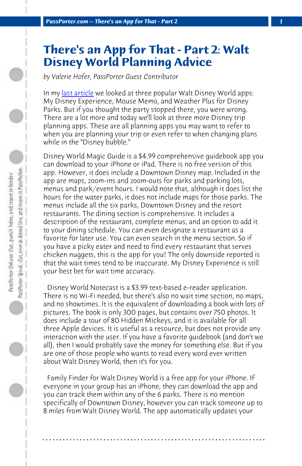*PassPorter.com -- There's an App for That - Part 2 1*

## **There's an App for That - Part 2: Walt Disney World Planning Advice**

*by Valerie Hofer, PassPorter Guest Contributor*

In my last article we looked at three popular Walt Disney World apps: My Disney Experience, Mouse Memo, and Weather Plus for Disney Parks. But if you thought the party stopped there, you were wrong. There are a lot more and today we'll look at three more Disney trip planning apps. These are all planning apps you may want to refer to when you are planning your trip or even refer to when changing plans while in the "Disney bubble."

Disney World Magic Guide is a \$4.99 comprehensive guidebook app you can download to your iPhone or iPad. There is no free version of this app. However, it does include a Downtown Disney map. Included in the app are maps, zoom-ins and zoom-outs for parks and parking lots, menus and park/event hours. I would note that, although it does list the hours for the water parks, it does not include maps for those parks. The menus include all the six parks, Downtown Disney and the resort restaurants. The dining section is comprehensive. It includes a description of the restaurant, complete menus, and an option to add it to your dining schedule. You can even designate a restaurant as a favorite for later use. You can even search in the menu section. So if you have a picky eater and need to find every restaurant that serves chicken nuggets, this is the app for you! The only downside reported is that the wait times tend to be inaccurate. My Disney Experience is still your best bet for wait time accuracy.

 Disney World Notecast is a \$3.99 text-based e-reader application. There is no Wi-Fi needed, but there's also no wait time section, no maps, and no showtimes. It is the equivalent of downloading a book with lots of pictures. The book is only 300 pages, but contains over 750 photos. It does include a tour of 80 Hidden Mickeys, and it is available for all three Apple devices. It is useful as a resource, but does not provide any interaction with the user. If you have a favorite guidebook (and don't we all), then I would probably save the money for something else. But if you are one of those people who wants to read every word ever written about Walt Disney World, then it's for you.

 Family Finder for Walt Disney World is a free app for your iPhone. If everyone in your group has an iPhone, they can download the app and you can track them within any of the 6 parks. There is no mention specifically of Downtown Disney, however you can track someone up to 8 miles from Walt Disney World. The app automatically updates your

**. . . . . . . . . . . . . . . . . . . . . . . . . . . . . . . . . . . . . . . . . . . . . . . . . . . . . . . . . . . . . . . . . .**